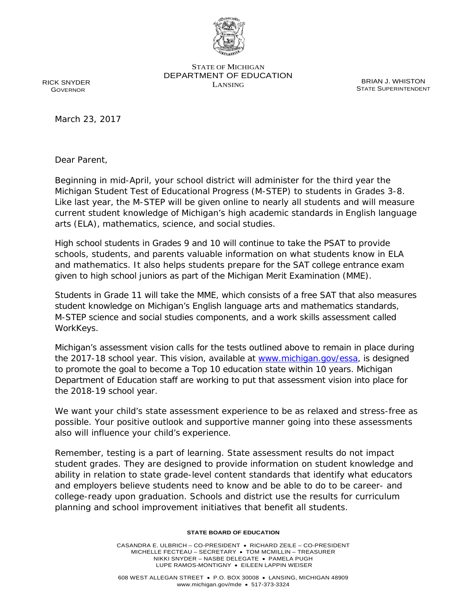

STATE OF MICHIGAN DEPARTMENT OF EDUCATION EXAMPLE BRIAN J. WHISTON

STATE SUPERINTENDENT

RICK SNYDER GOVERNOR

March 23, 2017

Dear Parent,

Beginning in mid-April, your school district will administer for the third year the Michigan Student Test of Educational Progress (M-STEP) to students in Grades 3-8. Like last year, the M-STEP will be given online to nearly all students and will measure current student knowledge of Michigan's high academic standards in English language arts (ELA), mathematics, science, and social studies.

High school students in Grades 9 and 10 will continue to take the PSAT to provide schools, students, and parents valuable information on what students know in ELA and mathematics. It also helps students prepare for the SAT college entrance exam given to high school juniors as part of the Michigan Merit Examination (MME).

Students in Grade 11 will take the MME, which consists of a free SAT that also measures student knowledge on Michigan's English language arts and mathematics standards, M-STEP science and social studies components, and a work skills assessment called WorkKeys.

Michigan's assessment vision calls for the tests outlined above to remain in place during the 2017-18 school year. This vision, available at [www.michigan.gov/essa,](http://www.michigan.gov/essa) is designed to promote the goal to become a Top 10 education state within 10 years. Michigan Department of Education staff are working to put that assessment vision into place for the 2018-19 school year.

We want your child's state assessment experience to be as relaxed and stress-free as possible. Your positive outlook and supportive manner going into these assessments also will influence your child's experience.

Remember, testing is a part of learning. State assessment results do not impact student grades. They are designed to provide information on student knowledge and ability in relation to state grade-level content standards that identify what educators and employers believe students need to know and be able to do to be career- and college-ready upon graduation. Schools and district use the results for curriculum planning and school improvement initiatives that benefit all students.

## **STATE BOARD OF EDUCATION**

CASANDRA E. ULBRICH – CO-PRESIDENT • RICHARD ZEILE – CO-PRESIDENT MICHELLE FECTEAU – SECRETARY • TOM MCMILLIN – TREASURER NIKKI SNYDER – NASBE DELEGATE • PAMELA PUGH LUPE RAMOS-MONTIGNY • EILEEN LAPPIN WEISER